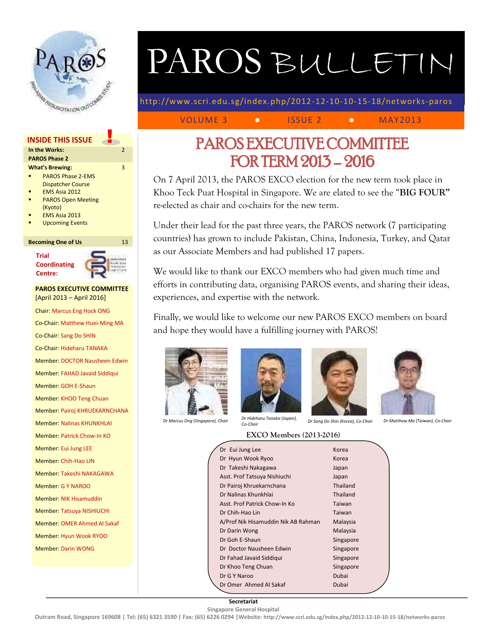

# PAROS BULLETIN

http://www.scri.edu.sg/index.php/2012 -12-10-10-15-18/networks-paros

VOLUME 3 **• ISSUE 2 • MAY2013** 

## **INSIDE THIS ISSUE**

### **In the Works: PAROS Phase 2 What's Brewing:** PAROS Phase 2-EMS Dispatcher Course EMS Asia 2012 PAROS Open Meeting (Kyoto)

- EMS Asia 2013
- Upcoming Events

### **Becoming One of Us** 13

**Trial Coordinating Centre:**



 $\overline{2}$ 

3

## **PAROS EXECUTIVE COMMITTEE** [April 2013 – April 2016] Chair: Marcus Eng Hock ONG Co-Chair: Matthew Huei-Ming MA Co-Chair: Sang Do SHIN

Co-Chair: Hideharu TANAKA

Member: DOCTOR Nausheen Edwin

Member: FAHAD Javaid Siddiqui

Member: GOH E-Shaun

Member: KHOO Teng Chuan

- Member: Pairoj KHRUEKARNCHANA
- Member: Nalinas KHUNKHLAI

Member: Patrick Chow-In KO

- Member: Eui Jung LEE
- Member: Chih-Hao LIN

Member: Takeshi NAKAGAWA

- Member: G Y NAROO
- Member: NIK Hisamuddin
- Member: Tatsuya NISHIUCHI
- Member: OMER Ahmed Al Sakaf
- Member: Hyun Wook RYOO
- Member: Darin WONG

## PAROS EXECUTIVE COMMITTEE FOR TERM 2013 – 2016

On 7 April 2013, the PAROS EXCO election for the new term took place in Khoo Teck Puat Hospital in Singapore. We are elated to see the "**BIG FOUR"** re-elected as chair and co-chairs for the new term.

Under their lead for the past three years, the PAROS network (7 participating countries) has grown to include Pakistan, China, Indonesia, Turkey, and Qatar as our Associate Members and had published 17 papers.

We would like to thank our EXCO members who had given much time and efforts in contributing data, organising PAROS events, and sharing their ideas, experiences, and expertise with the network.

Finally, we would like to welcome our new PAROS EXCO members on board and hope they would have a fulfilling journey with PAROS!







*Co-Chair Dr Sang Do Shin (Korea), Co-Chair Dr Matthew Ma (Taiwan), Co-Chair*

| Dr Marcus Ong (Singapore), Chair | Dr Hideharu Tanaka (Japan), |
|----------------------------------|-----------------------------|
|                                  | $C_0$ $Chair$               |

| Dr Eui Jung Lee                     | Korea           |  |
|-------------------------------------|-----------------|--|
| Dr Hyun Wook Ryoo                   | Korea           |  |
| Dr Takeshi Nakagawa                 | Japan           |  |
| Asst. Prof Tatsuya Nishiuchi        | Japan           |  |
| Dr Pairoj Khruekarnchana            | Thailand        |  |
| Dr Nalinas Khunkhlai                | <b>Thailand</b> |  |
| Asst. Prof Patrick Chow-In Ko       | Taiwan          |  |
| Dr Chih-Hao Lin                     | Taiwan          |  |
| A/Prof Nik Hisamuddin Nik AB Rahman | Malaysia        |  |
| Dr Darin Wong                       | Malaysia        |  |
| Dr Goh E-Shaun                      | Singapore       |  |
| Dr. Doctor Nausheen Edwin           | Singapore       |  |
| Dr Fahad Javaid Siddigui            | Singapore       |  |
| Dr Khoo Teng Chuan                  | Singapore       |  |
| Dr G Y Naroo                        | Dubai           |  |

Dr Omer Ahmed Al Sakaf Dubai

**Secretariat Singapore General Hospital** 

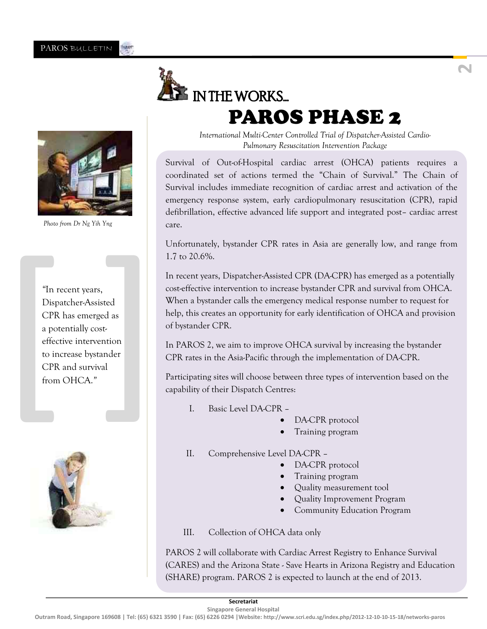

## IN THE WORKS... PAROS PHASE 2



Survival of Out-of-Hospital cardiac arrest (OHCA) patients requires a coordinated set of actions termed the "Chain of Survival." The Chain of Survival includes immediate recognition of cardiac arrest and activation of the emergency response system, early cardiopulmonary resuscitation (CPR), rapid defibrillation, effective advanced life support and integrated post– cardiac arrest care.

Unfortunately, bystander CPR rates in Asia are generally low, and range from 1.7 to 20.6%.

In recent years, Dispatcher-Assisted CPR (DA-CPR) has emerged as a potentially cost-effective intervention to increase bystander CPR and survival from OHCA. When a bystander calls the emergency medical response number to request for help, this creates an opportunity for early identification of OHCA and provision of bystander CPR.

In PAROS 2, we aim to improve OHCA survival by increasing the bystander CPR rates in the Asia-Pacific through the implementation of DA-CPR.

Participating sites will choose between three types of intervention based on the capability of their Dispatch Centres:

- I. Basic Level DA-CPR
	- DA-CPR protocol
	- Training program
- II. Comprehensive Level DA-CPR
	- DA-CPR protocol
	- Training program
	- Quality measurement tool
	- Quality Improvement Program
	- Community Education Program

III. Collection of OHCA data only

PAROS 2 will collaborate with Cardiac Arrest Registry to Enhance Survival (CARES) and the Arizona State - Save Hearts in Arizona Registry and Education (SHARE) program. PAROS 2 is expected to launch at the end of 2013.



*Photo from Dr Ng Yih Yng*

"In recent years,<br>Dispatcher-Assisted<br>CPR has emerged as<br>a potentially cost-<br>effective intervention<br>to increase bystander<br>CPR and survival<br>from OHCA." *"*In recent years, Dispatcher-Assisted CPR has emerged as a potentially costeffective intervention to increase bystander CPR and survival from OHCA.*"* 



**Outram Road, Singapore 169608 | Tel: (65) 6321 3590 | Fax: (65) 6226 0294 |Website: http://www.scri.edu.sg/index.php/2012-12-10-10-15-18/networks-paros**

**2**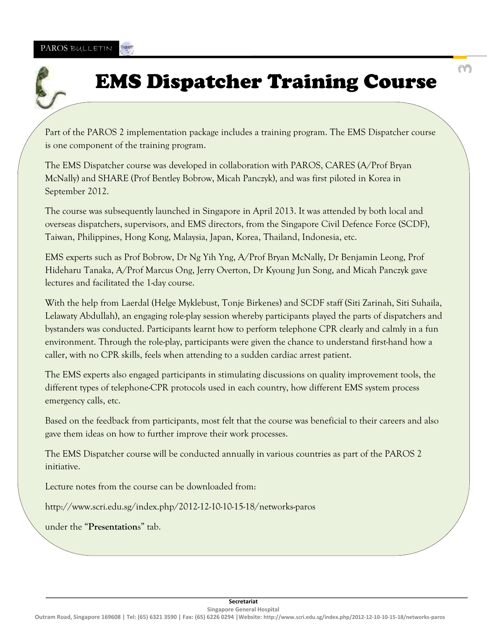## EMS Dispatcher Training Course

Part of the PAROS 2 implementation package includes a training program. The EMS Dispatcher course is one component of the training program.

The EMS Dispatcher course was developed in collaboration with PAROS, CARES (A/Prof Bryan McNally) and SHARE (Prof Bentley Bobrow, Micah Panczyk), and was first piloted in Korea in September 2012.

The course was subsequently launched in Singapore in April 2013. It was attended by both local and overseas dispatchers, supervisors, and EMS directors, from the Singapore Civil Defence Force (SCDF), Taiwan, Philippines, Hong Kong, Malaysia, Japan, Korea, Thailand, Indonesia, etc.

EMS experts such as Prof Bobrow, Dr Ng Yih Yng, A/Prof Bryan McNally, Dr Benjamin Leong, Prof Hideharu Tanaka, A/Prof Marcus Ong, Jerry Overton, Dr Kyoung Jun Song, and Micah Panczyk gave lectures and facilitated the 1-day course.

With the help from Laerdal (Helge Myklebust, Tonje Birkenes) and SCDF staff (Siti Zarinah, Siti Suhaila, Lelawaty Abdullah), an engaging role-play session whereby participants played the parts of dispatchers and bystanders was conducted. Participants learnt how to perform telephone CPR clearly and calmly in a fun environment. Through the role-play, participants were given the chance to understand first-hand how a caller, with no CPR skills, feels when attending to a sudden cardiac arrest patient.

The EMS experts also engaged participants in stimulating discussions on quality improvement tools, the different types of telephone-CPR protocols used in each country, how different EMS system process emergency calls, etc.

Based on the feedback from participants, most felt that the course was beneficial to their careers and also gave them ideas on how to further improve their work processes.

The EMS Dispatcher course will be conducted annually in various countries as part of the PAROS 2 initiative.

Lecture notes from the course can be downloaded from:

http://www.scri.edu.sg/index.php/2012-12-10-10-15-18/networks-paros

under the "**Presentation**s" tab.

**3**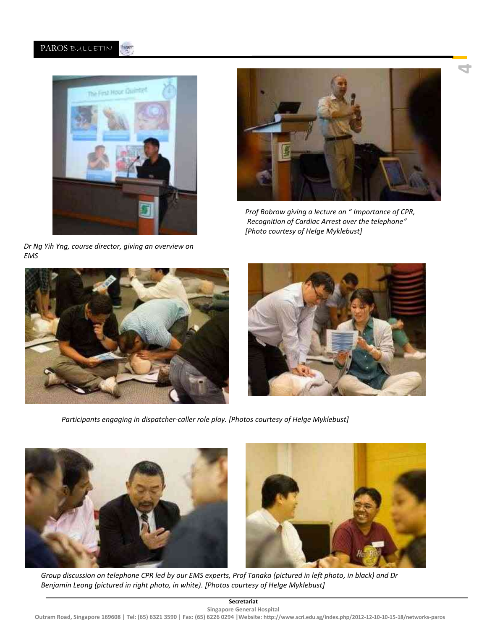#### PAROS BULLETIN Where.



*Dr Ng Yih Yng, course director, giving an overview on EMS* 



**4**

*Prof Bobrow giving a lecture on " Importance of CPR, Recognition of Cardiac Arrest over the telephone" [Photo courtesy of Helge Myklebust]*





*Participants engaging in dispatcher-caller role play. [Photos courtesy of Helge Myklebust]*



*Group discussion on telephone CPR led by our EMS experts, Prof Tanaka (pictured in left photo, in black) and Dr Benjamin Leong (pictured in right photo, in white). [Photos courtesy of Helge Myklebust]*

### **Secretariat**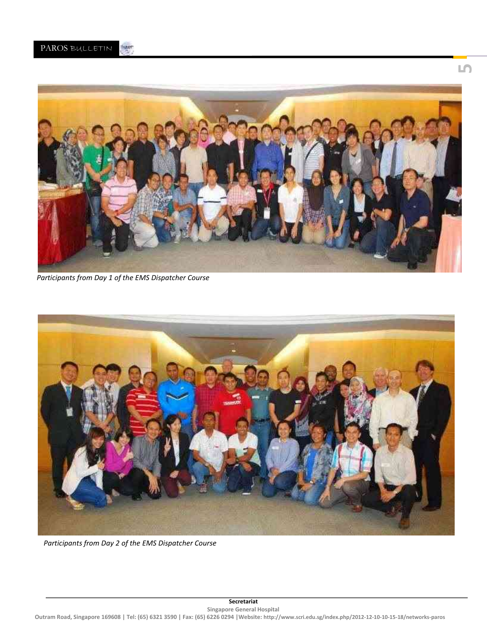

*Participants from Day 1 of the EMS Dispatcher Course*



*Participants from Day 2 of the EMS Dispatcher Course*

**5**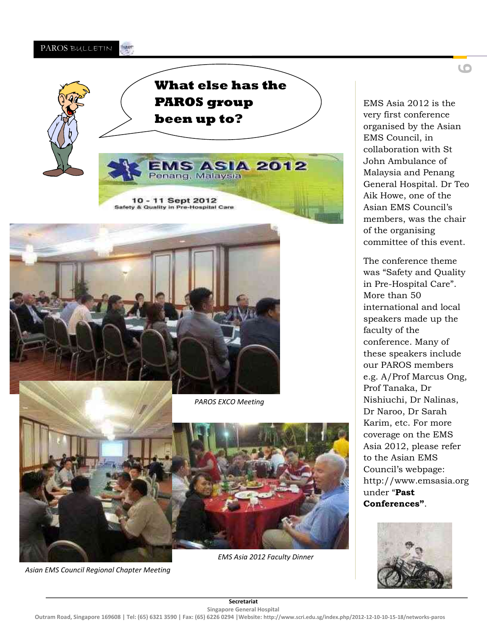







*PAROS EXCO Meeting*



*EMS Asia 2012 Faculty Dinner*

EMS Asia 2012 is the very first conference organised by the Asian EMS Council, in collaboration with St John Ambulance of Malaysia and Penang General Hospital. Dr Teo Aik Howe, one of the Asian EMS Council's members, was the chair of the organising committee of this event.

The conference theme was "Safety and Quality in Pre-Hospital Care". More than 50 international and local speakers made up the faculty of the conference. Many of these speakers include our PAROS members e.g. A/Prof Marcus Ong, Prof Tanaka, Dr Nishiuchi, Dr Nalinas, Dr Naroo, Dr Sarah Karim, etc. For more coverage on the EMS Asia 2012, please refer to the Asian EMS Council's webpage: [http://www.emsasia.org](http://www.emsasia.org/) under "**Past Conferences"**.



*Asian EMS Council Regional Chapter Meeting*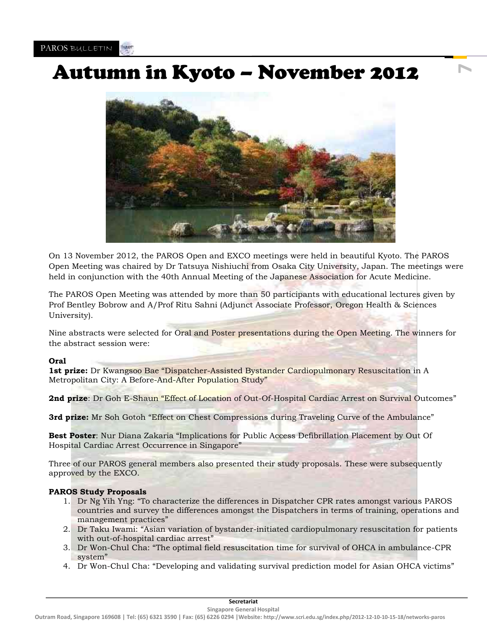## Autumn in Kyoto – November 2012

**7**



On 13 November 2012, the PAROS Open and EXCO meetings were held in beautiful Kyoto. The PAROS Open Meeting was chaired by Dr Tatsuya Nishiuchi from Osaka City University, Japan. The meetings were held in conjunction with the 40th Annual Meeting of the Japanese Association for Acute Medicine.

The PAROS Open Meeting was attended by more than 50 participants with educational lectures given by Prof Bentley Bobrow and A/Prof Ritu Sahni (Adjunct Associate Professor, Oregon Health & Sciences University).

Nine abstracts were selected for Oral and Poster presentations during the Open Meeting. The winners for the abstract session were:

### **Oral**

**1st prize:** Dr Kwangsoo Bae "Dispatcher-Assisted Bystander Cardiopulmonary Resuscitation in A Metropolitan City: A Before-And-After Population Study"

2nd prize: Dr Goh E-Shaun "Effect of Location of Out-Of-Hospital Cardiac Arrest on Survival Outcomes"

**3rd prize:** Mr Soh Gotoh "Effect on Chest Compressions during Traveling Curve of the Ambulance"

**Best Poster**: Nur Diana Zakaria "Implications for Public Access Defibrillation Placement by Out Of Hospital Cardiac Arrest Occurrence in Singapore"

Three of our PAROS general members also presented their study proposals. These were subsequently approved by the EXCO.

### **PAROS Study Proposals**

- 1. Dr Ng Yih Yng: "To characterize the differences in Dispatcher CPR rates amongst various PAROS countries and survey the differences amongst the Dispatchers in terms of training, operations and management practices"
- 2. Dr Taku Iwami: "Asian variation of bystander-initiated cardiopulmonary resuscitation for patients with out-of-hospital cardiac arrest"
- 3. Dr Won-Chul Cha: "The optimal field resuscitation time for survival of OHCA in ambulance-CPR system"
- 4. Dr Won-Chul Cha: "Developing and validating survival prediction model for Asian OHCA victims"

**Secretariat Singapore General Hospital**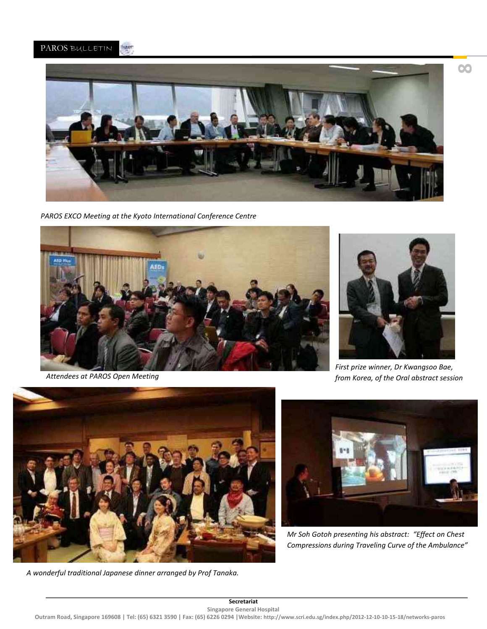

*PAROS EXCO Meeting at the Kyoto International Conference Centre*



*Attendees at PAROS Open Meeting*



*First prize winner, Dr Kwangsoo Bae, from Korea, of the Oral abstract session* 



*A wonderful traditional Japanese dinner arranged by Prof Tanaka.* 



*Mr Soh Gotoh presenting his abstract: "Effect on Chest Compressions during Traveling Curve of the Ambulance"*

**8**

**Secretariat Singapore General Hospital**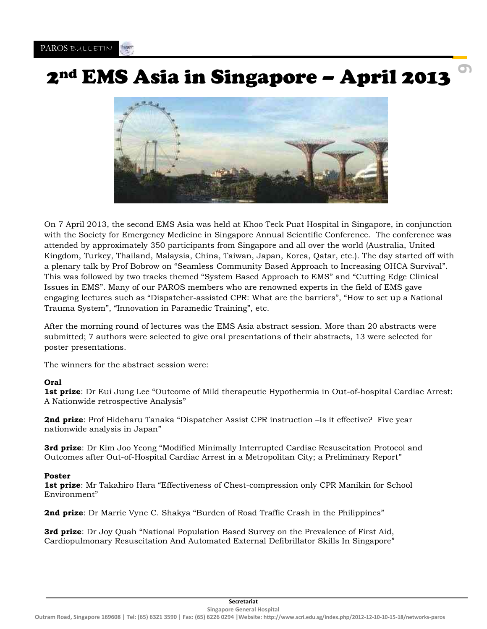## 2nd EMS Asia in Singapore – April 2013

**9**



On 7 April 2013, the second EMS Asia was held at Khoo Teck Puat Hospital in Singapore, in conjunction with the Society for Emergency Medicine in Singapore Annual Scientific Conference. The conference was attended by approximately 350 participants from Singapore and all over the world (Australia, United Kingdom, Turkey, Thailand, Malaysia, China, Taiwan, Japan, Korea, Qatar, etc.). The day started off with a plenary talk by Prof Bobrow on "Seamless Community Based Approach to Increasing OHCA Survival". This was followed by two tracks themed "System Based Approach to EMS" and "Cutting Edge Clinical Issues in EMS". Many of our PAROS members who are renowned experts in the field of EMS gave engaging lectures such as "Dispatcher-assisted CPR: What are the barriers", "How to set up a National Trauma System", "Innovation in Paramedic Training", etc.

After the morning round of lectures was the EMS Asia abstract session. More than 20 abstracts were submitted; 7 authors were selected to give oral presentations of their abstracts, 13 were selected for poster presentations.

The winners for the abstract session were:

### **Oral**

**1st prize**: Dr Eui Jung Lee "Outcome of Mild therapeutic Hypothermia in Out-of-hospital Cardiac Arrest: A Nationwide retrospective Analysis"

**2nd prize**: Prof Hideharu Tanaka "Dispatcher Assist CPR instruction –Is it effective? Five year nationwide analysis in Japan"

**3rd prize**: Dr Kim Joo Yeong "Modified Minimally Interrupted Cardiac Resuscitation Protocol and Outcomes after Out-of-Hospital Cardiac Arrest in a Metropolitan City; a Preliminary Report"

### **Poster**

**1st prize**: Mr Takahiro Hara "Effectiveness of Chest-compression only CPR Manikin for School Environment"

**2nd prize**: Dr Marrie Vyne C. Shakya "Burden of Road Traffic Crash in the Philippines"

**3rd prize**: Dr Joy Quah "National Population Based Survey on the Prevalence of First Aid, Cardiopulmonary Resuscitation And Automated External Defibrillator Skills In Singapore"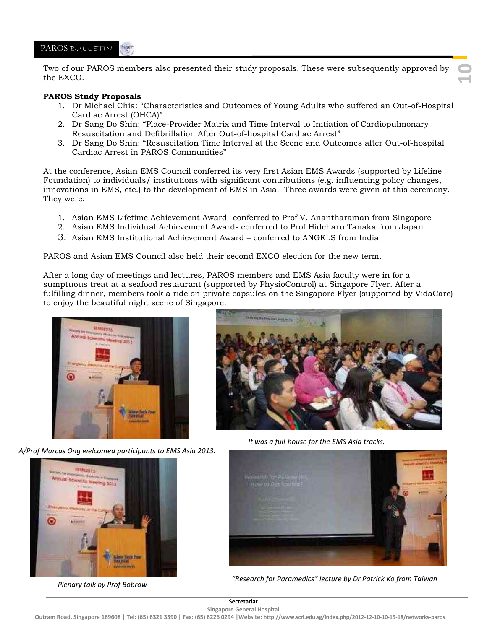#### PAROS BULLETIN **Mies**

Two of our PAROS members also presented their study proposals. These were subsequently approved by the EXCO.

### **PAROS Study Proposals**

- 1. Dr Michael Chia: "Characteristics and Outcomes of Young Adults who suffered an Out-of-Hospital Cardiac Arrest (OHCA)"
- 2. Dr Sang Do Shin: "Place-Provider Matrix and Time Interval to Initiation of Cardiopulmonary Resuscitation and Defibrillation After Out-of-hospital Cardiac Arrest"
- 3. Dr Sang Do Shin: "Resuscitation Time Interval at the Scene and Outcomes after Out-of-hospital Cardiac Arrest in PAROS Communities"

At the conference, Asian EMS Council conferred its very first Asian EMS Awards (supported by Lifeline Foundation) to individuals/ institutions with significant contributions (e.g. influencing policy changes, innovations in EMS, etc.) to the development of EMS in Asia. Three awards were given at this ceremony. They were:

- 1. Asian EMS Lifetime Achievement Award- conferred to Prof V. Anantharaman from Singapore
- 2. Asian EMS Individual Achievement Award- conferred to Prof Hideharu Tanaka from Japan
- 3. Asian EMS Institutional Achievement Award conferred to ANGELS from India

PAROS and Asian EMS Council also held their second EXCO election for the new term.

After a long day of meetings and lectures, PAROS members and EMS Asia faculty were in for a sumptuous treat at a seafood restaurant (supported by PhysioControl) at Singapore Flyer. After a fulfilling dinner, members took a ride on private capsules on the Singapore Flyer (supported by VidaCare) to enjoy the beautiful night scene of Singapore.



*A/Prof Marcus Ong welcomed participants to EMS Asia 2013.*



*Plenary talk by Prof Bobrow* 



**10**

*It was a full-house for the EMS Asia tracks.* 



*"Research for Paramedics" lecture by Dr Patrick Ko from Taiwan* 

**Secretariat Singapore General Hospital**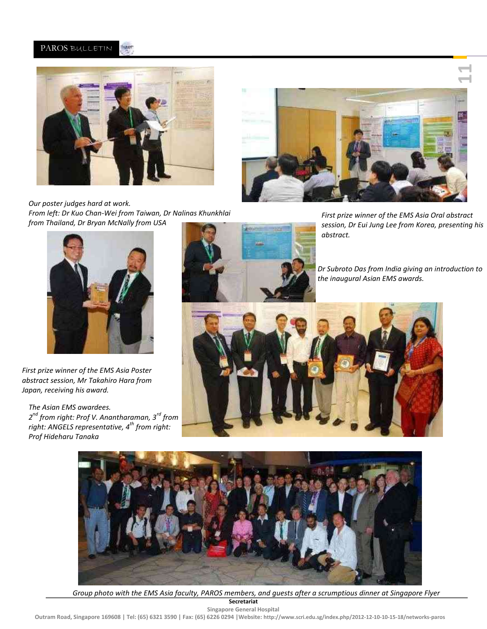#### Weer PAROS BULLETIN



*Our poster judges hard at work. From left: Dr Kuo Chan-Wei from Taiwan, Dr Nalinas Khunkhlai from Thailand, Dr Bryan McNally from USA* 



*First prize winner of the EMS Asia Oral abstract session, Dr Eui Jung Lee from Korea, presenting his abstract.* 



*First prize winner of the EMS Asia Poster abstract session, Mr Takahiro Hara from Japan, receiving his award.* 

*The Asian EMS awardees. 2 nd from right: Prof V. Anantharaman, 3rd from right: ANGELS representative, 4th from right: Prof Hideharu Tanaka* 



*Dr Subroto Das from India giving an introduction to the inaugural Asian EMS awards.* 





*Group photo with the EMS Asia faculty, PAROS members, and guests after a scrumptious dinner at Singapore Flyer* 

**Secretariat Singapore General Hospital**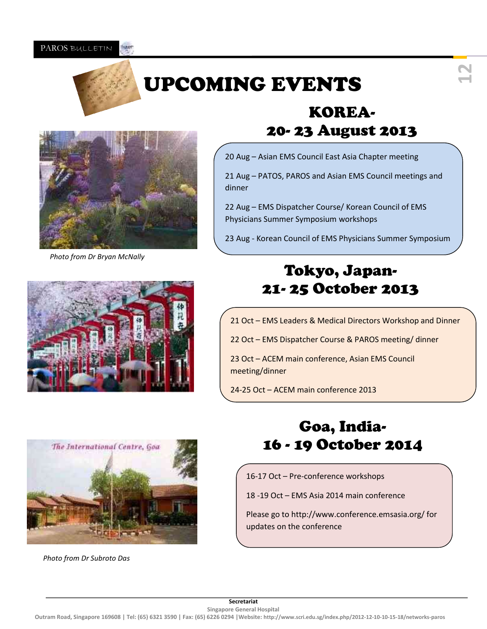#### PAROS BULLETIN **Mies**



## UPCOMING EVENTS





*Photo from Dr Bryan McNally* 

## KOREA-20- 23 August 2013

20 Aug – Asian EMS Council East Asia Chapter meeting

21 Aug – PATOS, PAROS and Asian EMS Council meetings and dinner

22 Aug – EMS Dispatcher Course/ Korean Council of EMS Physicians Summer Symposium workshops

23 Aug - Korean Council of EMS Physicians Summer Symposium

## Tokyo, Japan-21- 25 October 2013

- 21 Oct EMS Leaders & Medical Directors Workshop and Dinner
- 22 Oct EMS Dispatcher Course & PAROS meeting/ dinner

23 Oct – ACEM main conference, Asian EMS Council meeting/dinner

24-25 Oct – ACEM main conference 2013



*Photo from Dr Subroto Das* 

## Goa, India-16 - 19 October 2014

16-17 Oct – Pre-conference workshops

18 -19 Oct – EMS Asia 2014 main conference

Please go to http://www.conference.emsasia.org/ for updates on the conference

**Secretariat Singapore General Hospital**